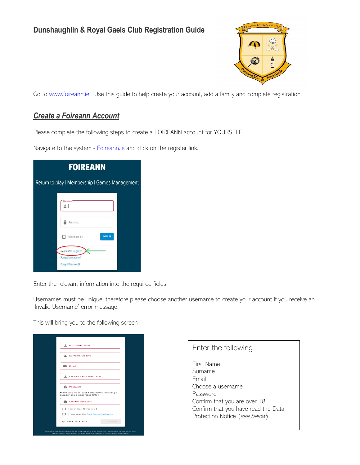# **Dunshaughlin & Royal Gaels Club Registration Guide**



Go to [www.foireann.ie.](http://www.foireann.ie/) Use this guide to help create your account, add a family and complete registration.

## *Create a Foireann Account*

Please complete the following steps to create a FOIREANN account for YOURSELF.

Navigate to the system - [Foireann.ie](https://auth.gaaservers.net/auth/realms/gaa/protocol/openid-connect/auth?client_id=gaa-direct&redirect_uri=https%3A%2F%2Fwww.foireann.ie%2Fuser-home&state=cd79148a-7a01-4d07-85a5-d1edb83e8870&response_mode=fragment&response_type=code&scope=openid&nonce=b78f9f85-b6f8-4d26-8d8b-1bbd00fe5a82) and click on the register link.

| <b>FOIREANN</b>                                |  |
|------------------------------------------------|--|
| Return to play   Membership   Games Management |  |
| Username                                       |  |
| Password                                       |  |
| <b>LOG IN</b><br>Remember me                   |  |
| New user? Register<br><b>Forgot Username?</b>  |  |
| <b>Forgot Password?</b>                        |  |

Enter the relevant information into the required fields.

Usernames must be unique, therefore please choose another username to create your account if you receive an 'Invalid Username' error message.

This will bring you to the following screen

| 으<br>First name/Ainm                                                                                                                                                     |  |
|--------------------------------------------------------------------------------------------------------------------------------------------------------------------------|--|
| ᇰ<br>Surname/Sloinne                                                                                                                                                     |  |
| $\approx$ Email                                                                                                                                                          |  |
| ≞<br>Choose a new username                                                                                                                                               |  |
| a<br>Password                                                                                                                                                            |  |
| Make sure it's at least 8 characters including a<br>number and a uppercase letter.                                                                                       |  |
| â<br>Confirm password                                                                                                                                                    |  |
| I am at least 18 years old                                                                                                                                               |  |
| I have read the Data Protection Notice                                                                                                                                   |  |
| ← BACK TO LOGIN<br>CONTINUE                                                                                                                                              |  |
| This site uses cookies only for functionality that is strictly necessary for services that<br>are explicitly requested by the user, for example registration and log-in. |  |

| Enter the following                                                                                                                                                     |  |
|-------------------------------------------------------------------------------------------------------------------------------------------------------------------------|--|
| First Name<br>Surname<br>Fmail<br>Choose a username<br>Password<br>Confirm that you are over 18<br>Confirm that you have read the Data<br>Protection Notice (see below) |  |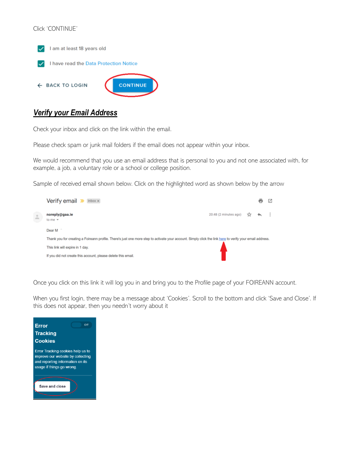### Click 'CONTINUE'



## *Verify your Email Address*

Check your inbox and click on the link within the email.

Please check spam or junk mail folders if the email does not appear within your inbox.

We would recommend that you use an email address that is personal to you and not one associated with, for example, a job, a voluntary role or a school or college position.

Sample of received email shown below. Click on the highlighted word as shown below by the arrow



Once you click on this link it will log you in and bring you to the Profile page of your FOIREANN account.

When you first login, there may be a message about 'Cookies'. Scroll to the bottom and click 'Save and Close'. If this does not appear, then you needn't worry about it

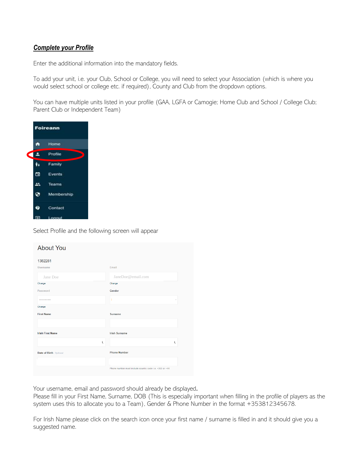### *Complete your Profile*

Enter the additional information into the mandatory fields.

To add your unit, i.e. your Club, School or College, you will need to select your Association (which is where you would select school or college etc. if required), County and Club from the dropdown options.

You can have multiple units listed in your profile (GAA, LGFA or Camogie; Home Club and School / College Club; Parent Club or Independent Team)



Select Profile and the following screen will appear

| <b>About You</b>        |                                                         |
|-------------------------|---------------------------------------------------------|
| 1382281                 |                                                         |
| Username                | Email                                                   |
| Jane Doe                | JaneDoe@email.com                                       |
| Change                  | Change                                                  |
| Password                | Gender                                                  |
|                         |                                                         |
| Change                  |                                                         |
| <b>First Name</b>       | <b>Surname</b>                                          |
|                         |                                                         |
| <b>Irish First Name</b> | <b>Irish Surname</b>                                    |
| ť                       | l                                                       |
| Date of Birth Optional  | <b>Phone Number</b>                                     |
|                         |                                                         |
|                         | Phone number must include country code i.e. +353 or +44 |

Your username, email and password should already be displayed.

Please fill in your First Name, Surname, DOB (This is especially important when filling in the profile of players as the system uses this to allocate you to a Team), Gender & Phone Number in the format +353812345678.

For Irish Name please click on the search icon once your first name / surname is filled in and it should give you a suggested name.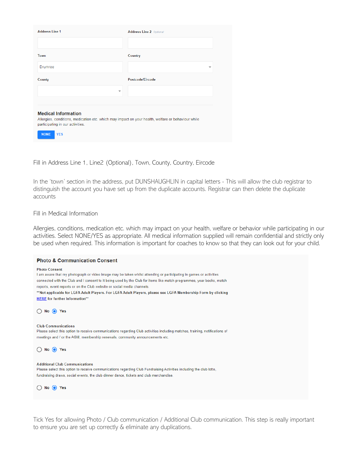| <b>Address Line 1</b>                                                                                                                                                | <b>Address Line 2</b> Optional |
|----------------------------------------------------------------------------------------------------------------------------------------------------------------------|--------------------------------|
|                                                                                                                                                                      |                                |
| Town                                                                                                                                                                 | Country                        |
| <b>Drumree</b>                                                                                                                                                       |                                |
| County                                                                                                                                                               | Postcode/Eircode               |
| $\overline{\phantom{0}}$                                                                                                                                             |                                |
|                                                                                                                                                                      |                                |
| <b>Medical Information</b><br>Allergies, conditions, medication etc. which may impact on your health, welfare or behaviour while<br>participating in our activities. |                                |
| <b>NONE</b><br><b>YFS</b>                                                                                                                                            |                                |

Fill in Address Line 1, Line2 (Optional), Town, County, Country, Eircode

In the 'town' section in the address, put DUNSHAUGHLIN in capital letters - This will allow the club registrar to distinguish the account you have set up from the duplicate accounts. Registrar can then delete the duplicate accounts

### Fill in Medical Information

Allergies, conditions, medication etc. which may impact on your health, welfare or behavior while participating in our activities. Select NONE/YES as appropriate. All medical information supplied will remain confidential and strictly only be used when required. This information is important for coaches to know so that they can look out for your child.

| <b>Photo &amp; Communication Consent</b>                                                                                                                                                                                                                                                                                                                                                                                                                                                                |
|---------------------------------------------------------------------------------------------------------------------------------------------------------------------------------------------------------------------------------------------------------------------------------------------------------------------------------------------------------------------------------------------------------------------------------------------------------------------------------------------------------|
| <b>Photo Consent</b><br>I am aware that my photograph or video image may be taken whilst attending or participating in games or activities<br>connected with the Club and I consent to it being used by the Club for items like match programmes, year books, match<br>reports, event reports or on the Club website or social media channels.<br>**Not applicable for LGFA Adult Players. For LGFA Adult Players, please see LGFA Membership Form by clicking<br><b>HERE</b> for further information** |
| $No$ (e) Yes                                                                                                                                                                                                                                                                                                                                                                                                                                                                                            |
| <b>Club Communications</b><br>Please select this option to receive communications regarding Club activities including matches, training, notifications of<br>meetings and / or the AGM, membership renewals, community announcements etc.                                                                                                                                                                                                                                                               |
| $No$ (e) Yes                                                                                                                                                                                                                                                                                                                                                                                                                                                                                            |
| <b>Additional Club Communications</b><br>Please select this option to receive communications regarding Club Fundraising Activities including the club lotto,<br>fundraising draws, social events, the club dinner dance, tickets and club merchandise.                                                                                                                                                                                                                                                  |
| (a) Yes<br>No                                                                                                                                                                                                                                                                                                                                                                                                                                                                                           |

Tick Yes for allowing Photo / Club communication / Additional Club communication. This step is really important to ensure you are set up correctly & eliminate any duplications.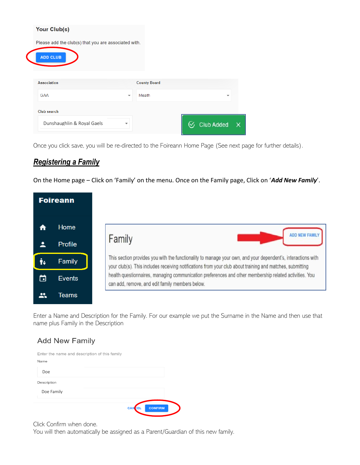| Your Club(s)                                         |                          |                     |                          |              |
|------------------------------------------------------|--------------------------|---------------------|--------------------------|--------------|
| Please add the club(s) that you are associated with. |                          |                     |                          |              |
| <b>ADD CLUB</b>                                      |                          |                     |                          |              |
|                                                      |                          |                     |                          |              |
| <b>Association</b>                                   |                          | <b>County Board</b> |                          |              |
| <b>GAA</b>                                           | $\overline{\phantom{a}}$ | Meath               | $\overline{\phantom{a}}$ |              |
| Club search                                          |                          |                     |                          |              |
| Dunshaughlin & Roval Gaels                           | ▼                        |                     | <b>Club Added</b>        | $\mathsf{x}$ |
|                                                      |                          |                     |                          |              |

Once you click save, you will be re-directed to the Foireann Home Page (See next page for further details).

## *Registering a Family*

On the Home page – Click on 'Family' on the menu. Once on the Family page, Click on '*Add New Family*'.



Enter a Name and Description for the Family. For our example we put the Surname in the Name and then use that name plus Family in the Description

## **Add New Family**

| Enter the name and description of this family |               |                |  |
|-----------------------------------------------|---------------|----------------|--|
| Name                                          |               |                |  |
| Doe                                           |               |                |  |
| Description                                   |               |                |  |
| Doe Family                                    |               |                |  |
|                                               |               |                |  |
|                                               | <b>CANCEL</b> | <b>CONFIRM</b> |  |

Click Confirm when done.

You will then automatically be assigned as a Parent/Guardian of this new family.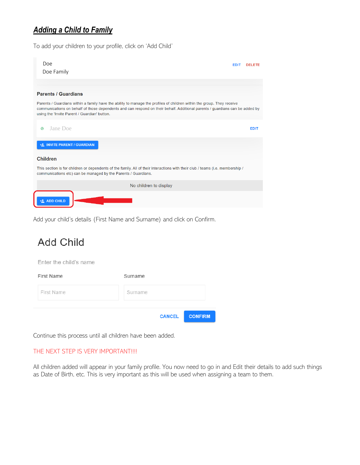# *Adding a Child to Family*

To add your children to your profile, click on 'Add Child'



Add your child's details (First Name and Surname) and click on Confirm.

# **Add Child**

Enter the child's name

| First Name | Surname |               |                |
|------------|---------|---------------|----------------|
| First Name | Surname |               |                |
|            |         | <b>CANCEL</b> | <b>CONFIRM</b> |

Continue this process until all children have been added.

### THE NEXT STEP IS VERY IMPORTANT!!!!

All children added will appear in your family profile. You now need to go in and Edit their details to add such things as Date of Birth, etc. This is very important as this will be used when assigning a team to them.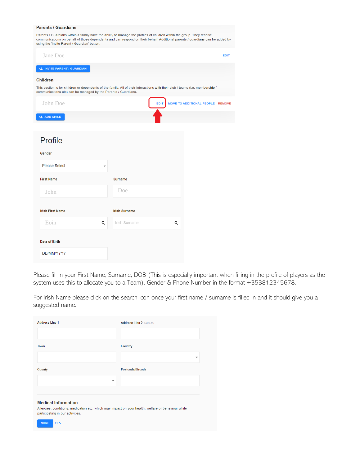#### **Parents / Guardians**

Parents / Guardians within a family have the ability to manage the profiles of children within the group. They receive<br>communications on behalf of those dependents and can respond on their behalf. Additional parents / guar using the 'Invite Parent / Guardian' button.

| Jane Doe                                                                                                                                                                                         |                      |             |                                  | <b>EDIT</b> |
|--------------------------------------------------------------------------------------------------------------------------------------------------------------------------------------------------|----------------------|-------------|----------------------------------|-------------|
| +2 INVITE PARENT / GUARDIAN                                                                                                                                                                      |                      |             |                                  |             |
| <b>Children</b>                                                                                                                                                                                  |                      |             |                                  |             |
| This section is for children or dependents of the family. All of their interactions with their club / teams (i.e. membership /<br>communications etc) can be managed by the Parents / Guardians. |                      |             |                                  |             |
| John Doe                                                                                                                                                                                         |                      | <b>EDIT</b> | MOVE TO ADDITIONAL PEOPLE REMOVE |             |
| +2 ADD CHILD                                                                                                                                                                                     |                      |             |                                  |             |
|                                                                                                                                                                                                  |                      |             |                                  |             |
| Profile                                                                                                                                                                                          |                      |             |                                  |             |
| Gender                                                                                                                                                                                           |                      |             |                                  |             |
| <b>Please Select</b><br>÷                                                                                                                                                                        |                      |             |                                  |             |
| <b>First Name</b>                                                                                                                                                                                | <b>Surname</b>       |             |                                  |             |
| John                                                                                                                                                                                             | Doe                  |             |                                  |             |
|                                                                                                                                                                                                  |                      |             |                                  |             |
| <b>Irish First Name</b>                                                                                                                                                                          | <b>Irish Surname</b> |             |                                  |             |
| Eoin<br>Q                                                                                                                                                                                        | Irish Surname        | Q           |                                  |             |
| Date of Birth                                                                                                                                                                                    |                      |             |                                  |             |
| <b>DD/MM/YYYY</b>                                                                                                                                                                                |                      |             |                                  |             |

Please fill in your First Name, Surname, DOB (This is especially important when filling in the profile of players as the system uses this to allocate you to a Team), Gender & Phone Number in the format +353812345678.

For Irish Name please click on the search icon once your first name / surname is filled in and it should give you a suggested name.

| <b>Address Line 1</b>    | <b>Address Line 2</b> Optional |
|--------------------------|--------------------------------|
|                          |                                |
| Town                     | Country                        |
|                          | $\overline{\phantom{a}}$       |
| County                   | Postcode/Eircode               |
| $\overline{\phantom{a}}$ |                                |
|                          |                                |

### **Medical Information**

Allergies, conditions, medication etc. which may impact on your health, welfare or behaviour while participating in our activities.

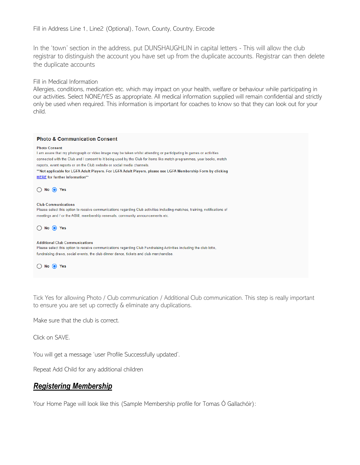Fill in Address Line 1, Line2 (Optional), Town, County, Country, Eircode

In the 'town' section in the address, put DUNSHAUGHLIN in capital letters - This will allow the club registrar to distinguish the account you have set up from the duplicate accounts. Registrar can then delete the duplicate accounts

Fill in Medical Information

Allergies, conditions, medication etc. which may impact on your health, welfare or behaviour while participating in our activities. Select NONE/YES as appropriate. All medical information supplied will remain confidential and strictly only be used when required. This information is important for coaches to know so that they can look out for your child.

| <b>Photo &amp; Communication Consent</b>                                                                                                                                                                                                                                                                                                                                                                                                                                                                |
|---------------------------------------------------------------------------------------------------------------------------------------------------------------------------------------------------------------------------------------------------------------------------------------------------------------------------------------------------------------------------------------------------------------------------------------------------------------------------------------------------------|
| <b>Photo Consent</b><br>I am aware that my photograph or video image may be taken whilst attending or participating in games or activities<br>connected with the Club and I consent to it being used by the Club for items like match programmes, year books, match<br>reports, event reports or on the Club website or social media channels.<br>**Not applicable for LGFA Adult Players. For LGFA Adult Players, please see LGFA Membership Form by clicking<br><b>HERE</b> for further information** |
| No $\odot$ Yes                                                                                                                                                                                                                                                                                                                                                                                                                                                                                          |
| <b>Club Communications</b><br>Please select this option to receive communications regarding Club activities including matches, training, notifications of<br>meetings and / or the AGM, membership renewals, community announcements etc.                                                                                                                                                                                                                                                               |
| No $\odot$ Yes                                                                                                                                                                                                                                                                                                                                                                                                                                                                                          |
| <b>Additional Club Communications</b><br>Please select this option to receive communications regarding Club Fundraising Activities including the club lotto,<br>fundraising draws, social events, the club dinner dance, tickets and club merchandise.                                                                                                                                                                                                                                                  |
| $No$ (e)<br>Yes                                                                                                                                                                                                                                                                                                                                                                                                                                                                                         |
|                                                                                                                                                                                                                                                                                                                                                                                                                                                                                                         |

Tick Yes for allowing Photo / Club communication / Additional Club communication. This step is really important to ensure you are set up correctly & eliminate any duplications.

Make sure that the club is correct.

Click on SAVE.

You will get a message 'user Profile Successfully updated'.

Repeat Add Child for any additional children

# *Registering Membership*

Your Home Page will look like this (Sample Membership profile for Tomas Ó Gallachóir):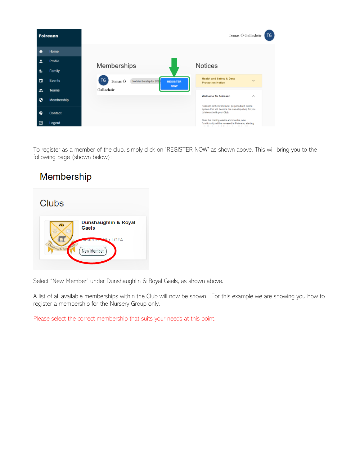

To register as a member of the club, simply click on 'REGISTER NOW' as shown above. This will bring you to the following page (shown below):

# Membership



Select "New Member" under Dunshaughlin & Royal Gaels, as shown above.

A list of all available memberships within the Club will now be shown. For this example we are showing you how to register a membership for the Nursery Group only.

Please select the correct membership that suits your needs at this point.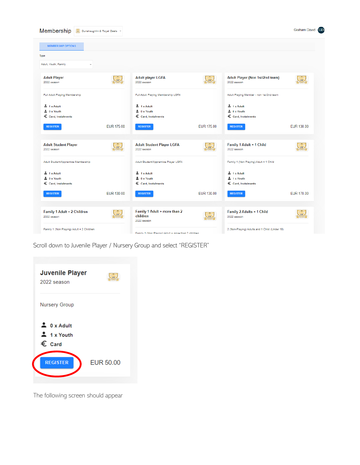

Scroll down to Juvenile Player / Nursery Group and select "REGISTER"



The following screen should appear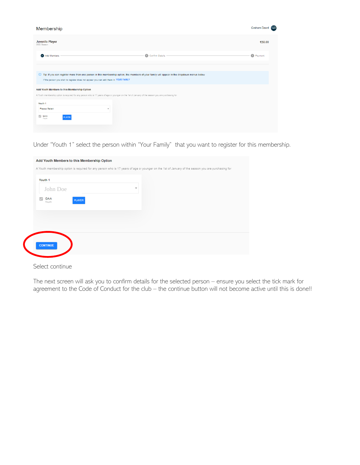| Membership                                                                                                                                                   |                                                                                                                                             | Graham Dowd <b>GD</b> |
|--------------------------------------------------------------------------------------------------------------------------------------------------------------|---------------------------------------------------------------------------------------------------------------------------------------------|-----------------------|
| <b>Juvenile Player</b><br>2022 Season                                                                                                                        |                                                                                                                                             | €50.00                |
| Add Members                                                                                                                                                  | 2 Confirm Details                                                                                                                           | 3 Payment             |
|                                                                                                                                                              | Tip: If you can register more than one person in this membership option, the members of your family will appear in the dropdown menus below |                       |
| If the person you wish to register does not appear you can add them in YOUR FAMILY<br>Add Youth Members to this Membership Option                            |                                                                                                                                             |                       |
| A Youth membership option is required for any person who is 17 years of age or younger on the 1st of January of the season you are purchasing for<br>Youth 1 |                                                                                                                                             |                       |
| <b>Please Select</b><br>$\mathbf{v}$<br>$\sqrt{}$ GAA<br><b>PLAYER</b><br>Youth                                                                              |                                                                                                                                             |                       |
|                                                                                                                                                              |                                                                                                                                             |                       |

Under "Youth 1" select the person within "Your Family" that you want to register for this membership.

| Youth 1<br>John Doe           | $\overline{\phantom{a}}$ |  |
|-------------------------------|--------------------------|--|
| GAA<br><b>PLAYER</b><br>Youth |                          |  |
|                               |                          |  |
|                               |                          |  |
|                               |                          |  |

### Select continue

The next screen will ask you to confirm details for the selected person – ensure you select the tick mark for agreement to the Code of Conduct for the club – the continue button will not become active until this is done!!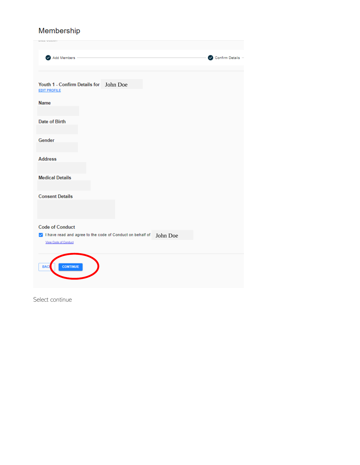# Membership

| in Minim School at MTT                                                       |                 |
|------------------------------------------------------------------------------|-----------------|
| Add Members                                                                  | Confirm Details |
|                                                                              |                 |
| Youth 1 - Confirm Details for John Doe<br><b>EDIT PROFILE</b><br><b>Name</b> |                 |
|                                                                              |                 |
| Date of Birth                                                                |                 |
| Gender                                                                       |                 |
|                                                                              |                 |
|                                                                              |                 |
| <b>Address</b>                                                               |                 |
|                                                                              |                 |
| <b>Medical Details</b>                                                       |                 |
|                                                                              |                 |
|                                                                              |                 |
| <b>Consent Details</b>                                                       |                 |
|                                                                              |                 |
|                                                                              |                 |
|                                                                              |                 |
| <b>Code of Conduct</b>                                                       |                 |
| √ I have read and agree to the code of Conduct on behalf of<br>John Doe      |                 |
| View Cade of Conduct                                                         |                 |
|                                                                              |                 |
|                                                                              |                 |
| <b>CONTINUE</b><br><b>BAC</b>                                                |                 |
|                                                                              |                 |
|                                                                              |                 |
|                                                                              |                 |

Select continue